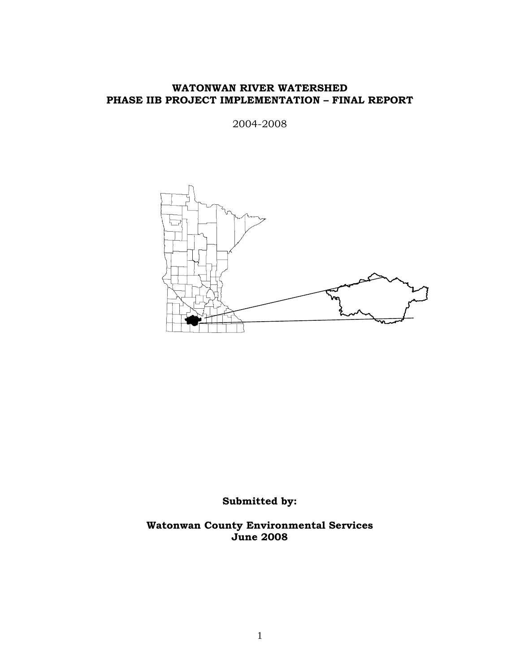#### **WATONWAN RIVER WATERSHED PHASE IIB PROJECT IMPLEMENTATION – FINAL REPORT**

2004-2008



**Submitted by:** 

**Watonwan County Environmental Services June 2008**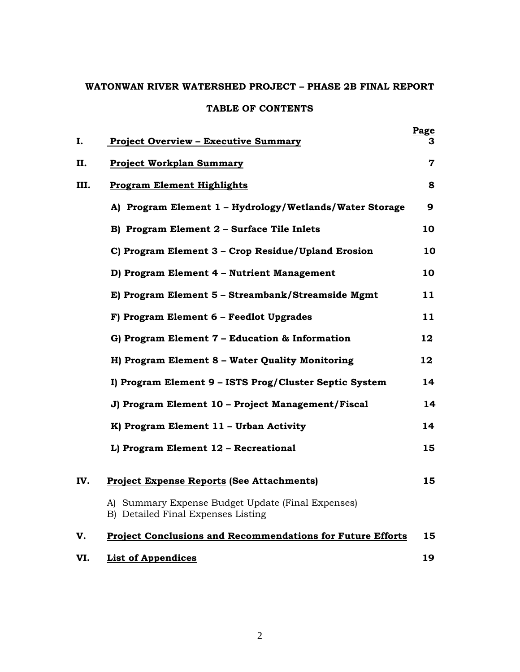# **WATONWAN RIVER WATERSHED PROJECT – PHASE 2B FINAL REPORT TABLE OF CONTENTS**

| Ι.   | <b>Project Overview - Executive Summary</b>                                             | Page<br>3 |
|------|-----------------------------------------------------------------------------------------|-----------|
| П.   | <b>Project Workplan Summary</b>                                                         | 7         |
| III. | <b>Program Element Highlights</b>                                                       | 8         |
|      | A) Program Element 1 - Hydrology/Wetlands/Water Storage                                 | 9         |
|      | B) Program Element 2 - Surface Tile Inlets                                              | 10        |
|      | C) Program Element 3 - Crop Residue/Upland Erosion                                      | 10        |
|      | D) Program Element 4 - Nutrient Management                                              | 10        |
|      | E) Program Element 5 - Streambank/Streamside Mgmt                                       | 11        |
|      | F) Program Element 6 - Feedlot Upgrades                                                 | 11        |
|      | G) Program Element 7 - Education & Information                                          | 12        |
|      | H) Program Element 8 - Water Quality Monitoring                                         | $12 \,$   |
|      | I) Program Element 9 - ISTS Prog/Cluster Septic System                                  | 14        |
|      | J) Program Element 10 - Project Management/Fiscal                                       | 14        |
|      | K) Program Element 11 - Urban Activity                                                  | 14        |
|      | L) Program Element 12 - Recreational                                                    | 15        |
| IV.  | <b>Project Expense Reports (See Attachments)</b>                                        | 15        |
|      | A) Summary Expense Budget Update (Final Expenses)<br>B) Detailed Final Expenses Listing |           |
| V.   | <b>Project Conclusions and Recommendations for Future Efforts</b>                       | 15        |
| VI.  | <b>List of Appendices</b>                                                               | 19        |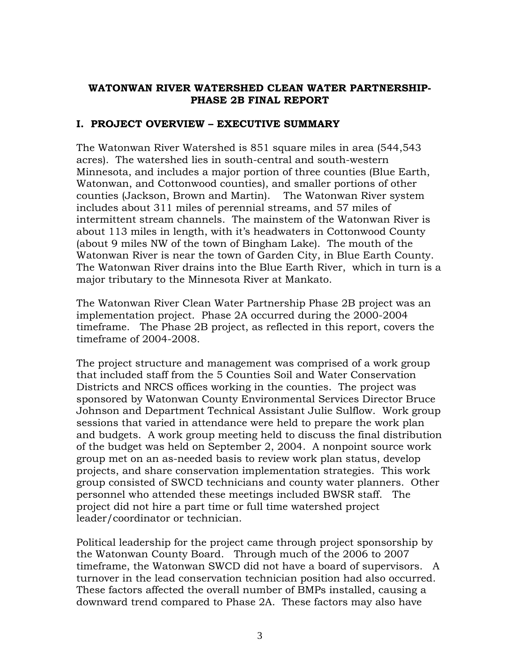#### **WATONWAN RIVER WATERSHED CLEAN WATER PARTNERSHIP-PHASE 2B FINAL REPORT**

### **I. PROJECT OVERVIEW – EXECUTIVE SUMMARY**

The Watonwan River Watershed is 851 square miles in area (544,543 acres). The watershed lies in south-central and south-western Minnesota, and includes a major portion of three counties (Blue Earth, Watonwan, and Cottonwood counties), and smaller portions of other counties (Jackson, Brown and Martin). The Watonwan River system includes about 311 miles of perennial streams, and 57 miles of intermittent stream channels. The mainstem of the Watonwan River is about 113 miles in length, with it's headwaters in Cottonwood County (about 9 miles NW of the town of Bingham Lake). The mouth of the Watonwan River is near the town of Garden City, in Blue Earth County. The Watonwan River drains into the Blue Earth River, which in turn is a major tributary to the Minnesota River at Mankato.

The Watonwan River Clean Water Partnership Phase 2B project was an implementation project. Phase 2A occurred during the 2000-2004 timeframe. The Phase 2B project, as reflected in this report, covers the timeframe of 2004-2008.

The project structure and management was comprised of a work group that included staff from the 5 Counties Soil and Water Conservation Districts and NRCS offices working in the counties. The project was sponsored by Watonwan County Environmental Services Director Bruce Johnson and Department Technical Assistant Julie Sulflow. Work group sessions that varied in attendance were held to prepare the work plan and budgets. A work group meeting held to discuss the final distribution of the budget was held on September 2, 2004. A nonpoint source work group met on an as-needed basis to review work plan status, develop projects, and share conservation implementation strategies. This work group consisted of SWCD technicians and county water planners. Other personnel who attended these meetings included BWSR staff. The project did not hire a part time or full time watershed project leader/coordinator or technician.

Political leadership for the project came through project sponsorship by the Watonwan County Board. Through much of the 2006 to 2007 timeframe, the Watonwan SWCD did not have a board of supervisors. A turnover in the lead conservation technician position had also occurred. These factors affected the overall number of BMPs installed, causing a downward trend compared to Phase 2A. These factors may also have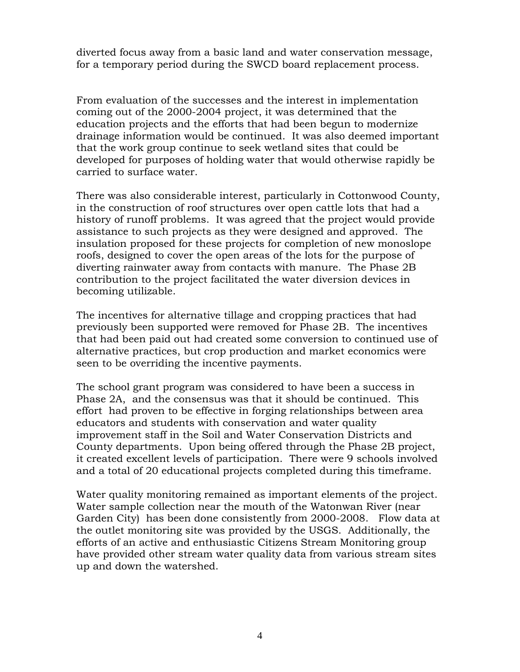diverted focus away from a basic land and water conservation message, for a temporary period during the SWCD board replacement process.

From evaluation of the successes and the interest in implementation coming out of the 2000-2004 project, it was determined that the education projects and the efforts that had been begun to modernize drainage information would be continued. It was also deemed important that the work group continue to seek wetland sites that could be developed for purposes of holding water that would otherwise rapidly be carried to surface water.

There was also considerable interest, particularly in Cottonwood County, in the construction of roof structures over open cattle lots that had a history of runoff problems. It was agreed that the project would provide assistance to such projects as they were designed and approved. The insulation proposed for these projects for completion of new monoslope roofs, designed to cover the open areas of the lots for the purpose of diverting rainwater away from contacts with manure. The Phase 2B contribution to the project facilitated the water diversion devices in becoming utilizable.

The incentives for alternative tillage and cropping practices that had previously been supported were removed for Phase 2B. The incentives that had been paid out had created some conversion to continued use of alternative practices, but crop production and market economics were seen to be overriding the incentive payments.

The school grant program was considered to have been a success in Phase 2A, and the consensus was that it should be continued. This effort had proven to be effective in forging relationships between area educators and students with conservation and water quality improvement staff in the Soil and Water Conservation Districts and County departments. Upon being offered through the Phase 2B project, it created excellent levels of participation. There were 9 schools involved and a total of 20 educational projects completed during this timeframe.

Water quality monitoring remained as important elements of the project. Water sample collection near the mouth of the Watonwan River (near Garden City) has been done consistently from 2000-2008. Flow data at the outlet monitoring site was provided by the USGS. Additionally, the efforts of an active and enthusiastic Citizens Stream Monitoring group have provided other stream water quality data from various stream sites up and down the watershed.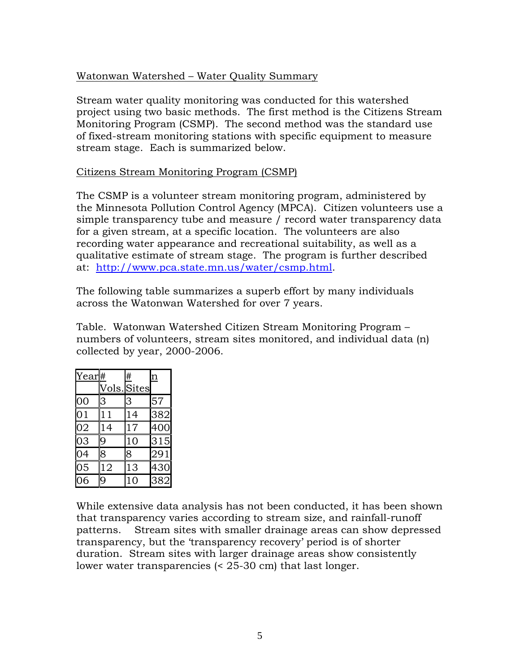#### Watonwan Watershed – Water Quality Summary

Stream water quality monitoring was conducted for this watershed project using two basic methods. The first method is the Citizens Stream Monitoring Program (CSMP). The second method was the standard use of fixed-stream monitoring stations with specific equipment to measure stream stage. Each is summarized below.

#### Citizens Stream Monitoring Program (CSMP)

The CSMP is a volunteer stream monitoring program, administered by the Minnesota Pollution Control Agency (MPCA). Citizen volunteers use a simple transparency tube and measure / record water transparency data for a given stream, at a specific location. The volunteers are also recording water appearance and recreational suitability, as well as a qualitative estimate of stream stage. The program is further described at: <http://www.pca.state.mn.us/water/csmp.html>.

The following table summarizes a superb effort by many individuals across the Watonwan Watershed for over 7 years.

Table. Watonwan Watershed Citizen Stream Monitoring Program – numbers of volunteers, stream sites monitored, and individual data (n) collected by year, 2000-2006.

| Year# |    | #           | $\overline{\mathbf{n}}$ |
|-------|----|-------------|-------------------------|
|       |    | Vols. Sites |                         |
| 00    | 3  | 3           | 57                      |
| 01    | 11 | 14          | 382                     |
| 02    | 14 | 17          | 400                     |
| 03    | 9  | 10          | 315                     |
| 04    | 8  | 8           | 291                     |
| 05    | 12 | 13          | 430                     |
| 06    | 9  | 10          | 382                     |

While extensive data analysis has not been conducted, it has been shown that transparency varies according to stream size, and rainfall-runoff patterns. Stream sites with smaller drainage areas can show depressed transparency, but the 'transparency recovery' period is of shorter duration. Stream sites with larger drainage areas show consistently lower water transparencies (< 25-30 cm) that last longer.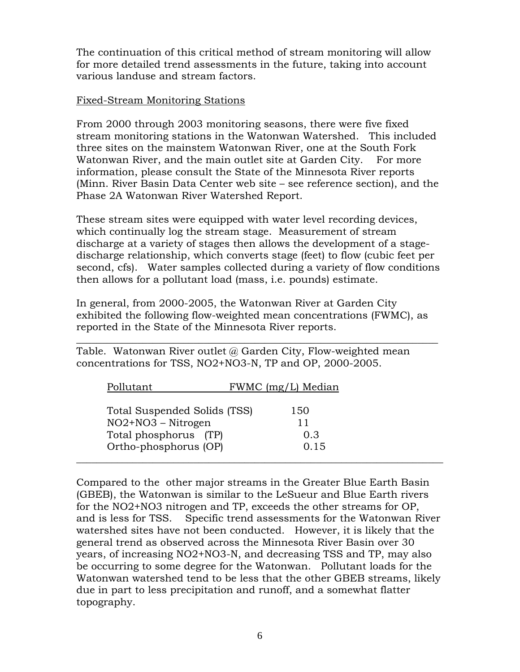The continuation of this critical method of stream monitoring will allow for more detailed trend assessments in the future, taking into account various landuse and stream factors.

#### Fixed-Stream Monitoring Stations

From 2000 through 2003 monitoring seasons, there were five fixed stream monitoring stations in the Watonwan Watershed. This included three sites on the mainstem Watonwan River, one at the South Fork Watonwan River, and the main outlet site at Garden City. For more information, please consult the State of the Minnesota River reports (Minn. River Basin Data Center web site – see reference section), and the Phase 2A Watonwan River Watershed Report.

These stream sites were equipped with water level recording devices, which continually log the stream stage. Measurement of stream discharge at a variety of stages then allows the development of a stagedischarge relationship, which converts stage (feet) to flow (cubic feet per second, cfs). Water samples collected during a variety of flow conditions then allows for a pollutant load (mass, i.e. pounds) estimate.

In general, from 2000-2005, the Watonwan River at Garden City exhibited the following flow-weighted mean concentrations (FWMC), as reported in the State of the Minnesota River reports.

 $\_$  , and the set of the set of the set of the set of the set of the set of the set of the set of the set of the set of the set of the set of the set of the set of the set of the set of the set of the set of the set of th Table. Watonwan River outlet  $\omega$  Garden City, Flow-weighted mean concentrations for TSS, NO2+NO3-N, TP and OP, 2000-2005.

| Pollutant                    | FWMC (mg/L) Median |
|------------------------------|--------------------|
| Total Suspended Solids (TSS) | 150                |
| $NO2+NO3 - Nitrogen$         |                    |
| Total phosphorus (TP)        | 0.3                |
| Ortho-phosphorus (OP)        | 0.15               |

Compared to the other major streams in the Greater Blue Earth Basin (GBEB), the Watonwan is similar to the LeSueur and Blue Earth rivers for the NO2+NO3 nitrogen and TP, exceeds the other streams for OP, and is less for TSS. Specific trend assessments for the Watonwan River watershed sites have not been conducted. However, it is likely that the general trend as observed across the Minnesota River Basin over 30 years, of increasing NO2+NO3-N, and decreasing TSS and TP, may also be occurring to some degree for the Watonwan. Pollutant loads for the Watonwan watershed tend to be less that the other GBEB streams, likely due in part to less precipitation and runoff, and a somewhat flatter topography.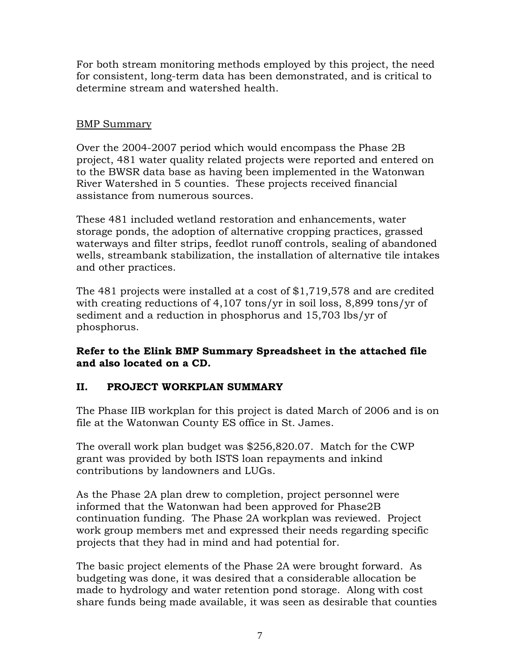For both stream monitoring methods employed by this project, the need for consistent, long-term data has been demonstrated, and is critical to determine stream and watershed health.

# BMP Summary

Over the 2004-2007 period which would encompass the Phase 2B project, 481 water quality related projects were reported and entered on to the BWSR data base as having been implemented in the Watonwan River Watershed in 5 counties. These projects received financial assistance from numerous sources.

These 481 included wetland restoration and enhancements, water storage ponds, the adoption of alternative cropping practices, grassed waterways and filter strips, feedlot runoff controls, sealing of abandoned wells, streambank stabilization, the installation of alternative tile intakes and other practices.

The 481 projects were installed at a cost of \$1,719,578 and are credited with creating reductions of 4,107 tons/yr in soil loss, 8,899 tons/yr of sediment and a reduction in phosphorus and 15,703 lbs/yr of phosphorus.

# **Refer to the Elink BMP Summary Spreadsheet in the attached file and also located on a CD.**

# **II. PROJECT WORKPLAN SUMMARY**

The Phase IIB workplan for this project is dated March of 2006 and is on file at the Watonwan County ES office in St. James.

The overall work plan budget was \$256,820.07. Match for the CWP grant was provided by both ISTS loan repayments and inkind contributions by landowners and LUGs.

As the Phase 2A plan drew to completion, project personnel were informed that the Watonwan had been approved for Phase2B continuation funding. The Phase 2A workplan was reviewed. Project work group members met and expressed their needs regarding specific projects that they had in mind and had potential for.

The basic project elements of the Phase 2A were brought forward. As budgeting was done, it was desired that a considerable allocation be made to hydrology and water retention pond storage. Along with cost share funds being made available, it was seen as desirable that counties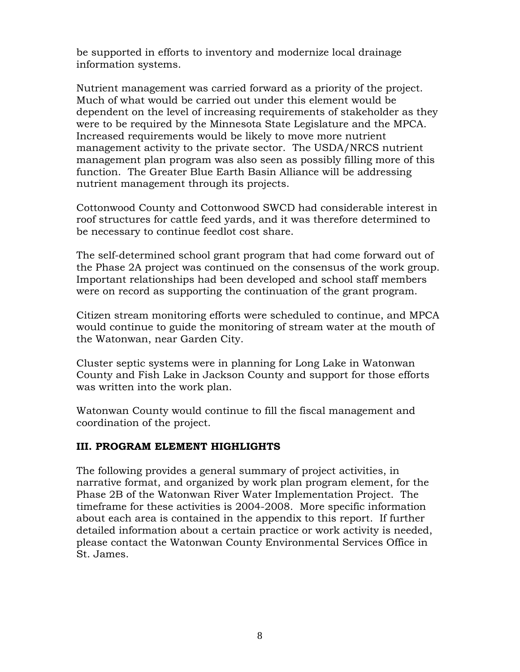be supported in efforts to inventory and modernize local drainage information systems.

Nutrient management was carried forward as a priority of the project. Much of what would be carried out under this element would be dependent on the level of increasing requirements of stakeholder as they were to be required by the Minnesota State Legislature and the MPCA. Increased requirements would be likely to move more nutrient management activity to the private sector. The USDA/NRCS nutrient management plan program was also seen as possibly filling more of this function. The Greater Blue Earth Basin Alliance will be addressing nutrient management through its projects.

Cottonwood County and Cottonwood SWCD had considerable interest in roof structures for cattle feed yards, and it was therefore determined to be necessary to continue feedlot cost share.

The self-determined school grant program that had come forward out of the Phase 2A project was continued on the consensus of the work group. Important relationships had been developed and school staff members were on record as supporting the continuation of the grant program.

Citizen stream monitoring efforts were scheduled to continue, and MPCA would continue to guide the monitoring of stream water at the mouth of the Watonwan, near Garden City.

Cluster septic systems were in planning for Long Lake in Watonwan County and Fish Lake in Jackson County and support for those efforts was written into the work plan.

Watonwan County would continue to fill the fiscal management and coordination of the project.

#### **III. PROGRAM ELEMENT HIGHLIGHTS**

The following provides a general summary of project activities, in narrative format, and organized by work plan program element, for the Phase 2B of the Watonwan River Water Implementation Project. The timeframe for these activities is 2004-2008. More specific information about each area is contained in the appendix to this report. If further detailed information about a certain practice or work activity is needed, please contact the Watonwan County Environmental Services Office in St. James.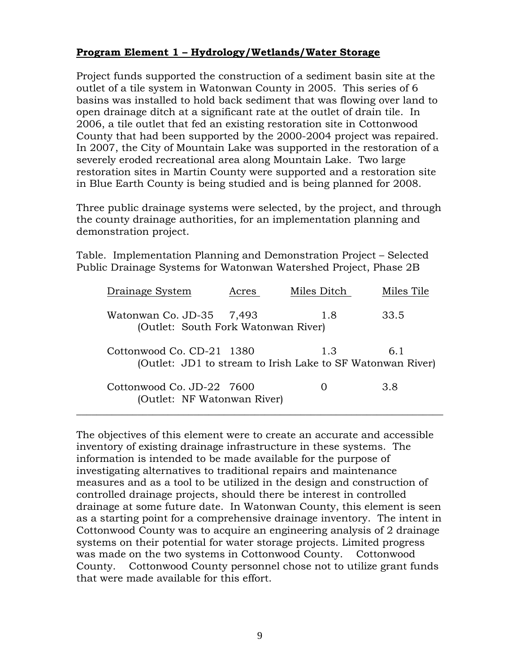# **Program Element 1 – Hydrology/Wetlands/Water Storage**

Project funds supported the construction of a sediment basin site at the outlet of a tile system in Watonwan County in 2005. This series of 6 basins was installed to hold back sediment that was flowing over land to open drainage ditch at a significant rate at the outlet of drain tile. In 2006, a tile outlet that fed an existing restoration site in Cottonwood County that had been supported by the 2000-2004 project was repaired. In 2007, the City of Mountain Lake was supported in the restoration of a severely eroded recreational area along Mountain Lake. Two large restoration sites in Martin County were supported and a restoration site in Blue Earth County is being studied and is being planned for 2008.

Three public drainage systems were selected, by the project, and through the county drainage authorities, for an implementation planning and demonstration project.

Table. Implementation Planning and Demonstration Project – Selected Public Drainage Systems for Watonwan Watershed Project, Phase 2B

| Drainage System                                           | Acres | Miles Ditch                                                       | Miles Tile |
|-----------------------------------------------------------|-------|-------------------------------------------------------------------|------------|
| Watonwan Co. JD-35<br>(Outlet: South Fork Watonwan River) | 7,493 | 1.8                                                               | 33.5       |
| Cottonwood Co. CD-21 1380                                 |       | 1.3<br>(Outlet: JD1 to stream to Irish Lake to SF Watonwan River) | 6.1        |
| Cottonwood Co. JD-22 7600<br>(Outlet: NF Watonwan River)  |       |                                                                   | 3.8        |

The objectives of this element were to create an accurate and accessible inventory of existing drainage infrastructure in these systems. The information is intended to be made available for the purpose of investigating alternatives to traditional repairs and maintenance measures and as a tool to be utilized in the design and construction of controlled drainage projects, should there be interest in controlled drainage at some future date. In Watonwan County, this element is seen as a starting point for a comprehensive drainage inventory. The intent in Cottonwood County was to acquire an engineering analysis of 2 drainage systems on their potential for water storage projects. Limited progress was made on the two systems in Cottonwood County. Cottonwood County. Cottonwood County personnel chose not to utilize grant funds that were made available for this effort.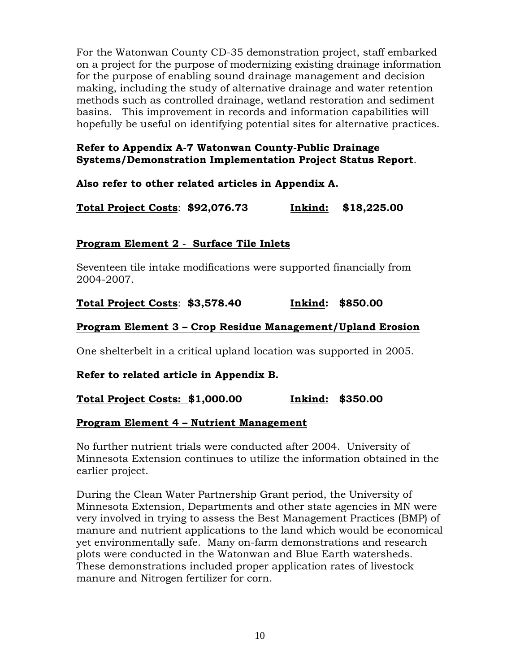For the Watonwan County CD-35 demonstration project, staff embarked on a project for the purpose of modernizing existing drainage information for the purpose of enabling sound drainage management and decision making, including the study of alternative drainage and water retention methods such as controlled drainage, wetland restoration and sediment basins. This improvement in records and information capabilities will hopefully be useful on identifying potential sites for alternative practices.

# **Refer to Appendix A-7 Watonwan County-Public Drainage Systems/Demonstration Implementation Project Status Report**.

# **Also refer to other related articles in Appendix A.**

**Total Project Costs**: **\$92,076.73 Inkind: \$18,225.00**

### **Program Element 2 - Surface Tile Inlets**

Seventeen tile intake modifications were supported financially from 2004-2007.

### **Total Project Costs**: **\$3,578.40 Inkind: \$850.00**

### **Program Element 3 – Crop Residue Management/Upland Erosion**

One shelterbelt in a critical upland location was supported in 2005.

#### **Refer to related article in Appendix B.**

# **Total Project Costs: \$1,000.00 Inkind: \$350.00**

#### **Program Element 4 – Nutrient Management**

No further nutrient trials were conducted after 2004. University of Minnesota Extension continues to utilize the information obtained in the earlier project.

During the Clean Water Partnership Grant period, the University of Minnesota Extension, Departments and other state agencies in MN were very involved in trying to assess the Best Management Practices (BMP) of manure and nutrient applications to the land which would be economical yet environmentally safe. Many on-farm demonstrations and research plots were conducted in the Watonwan and Blue Earth watersheds. These demonstrations included proper application rates of livestock manure and Nitrogen fertilizer for corn.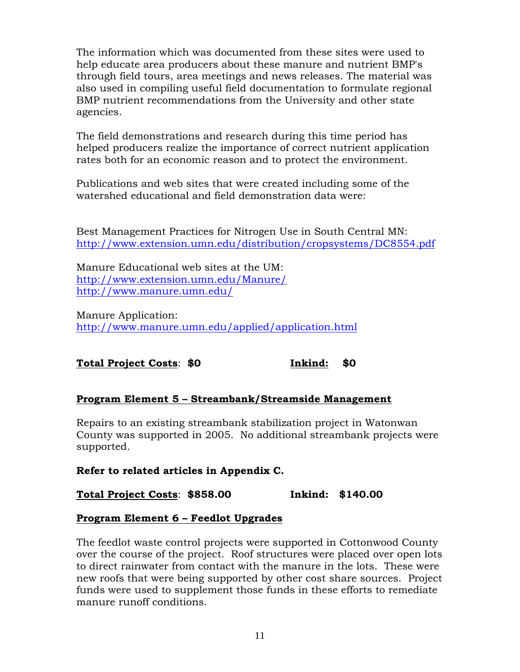The information which was documented from these sites were used to help educate area producers about these manure and nutrient BMP's through field tours, area meetings and news releases. The material was also used in compiling useful field documentation to formulate regional BMP nutrient recommendations from the University and other state agencies.

The field demonstrations and research during this time period has helped producers realize the importance of correct nutrient application rates both for an economic reason and to protect the environment.

Publications and web sites that were created including some of the watershed educational and field demonstration data were:

Best Management Practices for Nitrogen Use in South Central MN: <http://www.extension.umn.edu/distribution/cropsystems/DC8554.pdf>

Manure Educational web sites at the UM: <http://www.extension.umn.edu/Manure/> <http://www.manure.umn.edu/>

Manure Application: <http://www.manure.umn.edu/applied/application.html>

# **Total Project Costs**: **\$0 Inkind: \$0**

# **Program Element 5 – Streambank/Streamside Management**

Repairs to an existing streambank stabilization project in Watonwan County was supported in 2005. No additional streambank projects were supported.

# **Refer to related articles in Appendix C.**

**Total Project Costs**: **\$858.00 Inkind: \$140.00**

# **Program Element 6 – Feedlot Upgrades**

The feedlot waste control projects were supported in Cottonwood County over the course of the project. Roof structures were placed over open lots to direct rainwater from contact with the manure in the lots. These were new roofs that were being supported by other cost share sources. Project funds were used to supplement those funds in these efforts to remediate manure runoff conditions.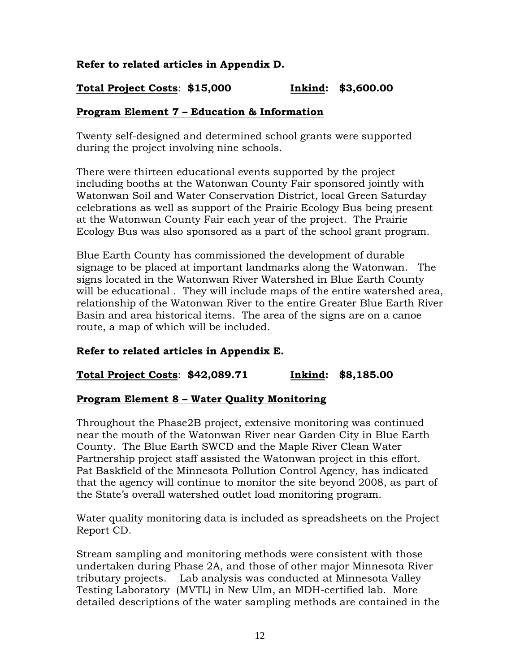# **Refer to related articles in Appendix D.**

# **Total Project Costs**: **\$15,000 Inkind: \$3,600.00**

### **Program Element 7 – Education & Information**

Twenty self-designed and determined school grants were supported during the project involving nine schools.

There were thirteen educational events supported by the project including booths at the Watonwan County Fair sponsored jointly with Watonwan Soil and Water Conservation District, local Green Saturday celebrations as well as support of the Prairie Ecology Bus being present at the Watonwan County Fair each year of the project. The Prairie Ecology Bus was also sponsored as a part of the school grant program.

Blue Earth County has commissioned the development of durable signage to be placed at important landmarks along the Watonwan. The signs located in the Watonwan River Watershed in Blue Earth County will be educational . They will include maps of the entire watershed area, relationship of the Watonwan River to the entire Greater Blue Earth River Basin and area historical items. The area of the signs are on a canoe route, a map of which will be included.

#### **Refer to related articles in Appendix E.**

#### **Total Project Costs**: **\$42,089.71 Inkind: \$8,185.00**

#### **Program Element 8 – Water Quality Monitoring**

Throughout the Phase2B project, extensive monitoring was continued near the mouth of the Watonwan River near Garden City in Blue Earth County. The Blue Earth SWCD and the Maple River Clean Water Partnership project staff assisted the Watonwan project in this effort. Pat Baskfield of the Minnesota Pollution Control Agency, has indicated that the agency will continue to monitor the site beyond 2008, as part of the State's overall watershed outlet load monitoring program.

Water quality monitoring data is included as spreadsheets on the Project Report CD.

Stream sampling and monitoring methods were consistent with those undertaken during Phase 2A, and those of other major Minnesota River tributary projects. Lab analysis was conducted at Minnesota Valley Testing Laboratory (MVTL) in New Ulm, an MDH-certified lab. More detailed descriptions of the water sampling methods are contained in the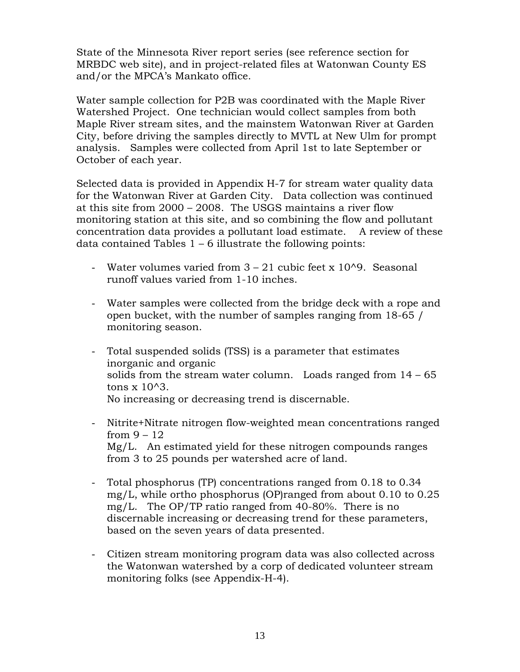State of the Minnesota River report series (see reference section for MRBDC web site), and in project-related files at Watonwan County ES and/or the MPCA's Mankato office.

Water sample collection for P2B was coordinated with the Maple River Watershed Project. One technician would collect samples from both Maple River stream sites, and the mainstem Watonwan River at Garden City, before driving the samples directly to MVTL at New Ulm for prompt analysis. Samples were collected from April 1st to late September or October of each year.

Selected data is provided in Appendix H-7 for stream water quality data for the Watonwan River at Garden City. Data collection was continued at this site from 2000 – 2008. The USGS maintains a river flow monitoring station at this site, and so combining the flow and pollutant concentration data provides a pollutant load estimate. A review of these data contained Tables  $1 - 6$  illustrate the following points:

- Water volumes varied from  $3 21$  cubic feet x 10^9. Seasonal runoff values varied from 1-10 inches.
- Water samples were collected from the bridge deck with a rope and open bucket, with the number of samples ranging from 18-65 / monitoring season.
- Total suspended solids (TSS) is a parameter that estimates inorganic and organic solids from the stream water column. Loads ranged from  $14 - 65$ tons  $x$  10^3. No increasing or decreasing trend is discernable.
- Nitrite+Nitrate nitrogen flow-weighted mean concentrations ranged from  $9 - 12$  Mg/L. An estimated yield for these nitrogen compounds ranges from 3 to 25 pounds per watershed acre of land.
- Total phosphorus (TP) concentrations ranged from 0.18 to 0.34 mg/L, while ortho phosphorus (OP)ranged from about 0.10 to 0.25 mg/L. The OP/TP ratio ranged from 40-80%. There is no discernable increasing or decreasing trend for these parameters, based on the seven years of data presented.
- Citizen stream monitoring program data was also collected across the Watonwan watershed by a corp of dedicated volunteer stream monitoring folks (see Appendix-H-4).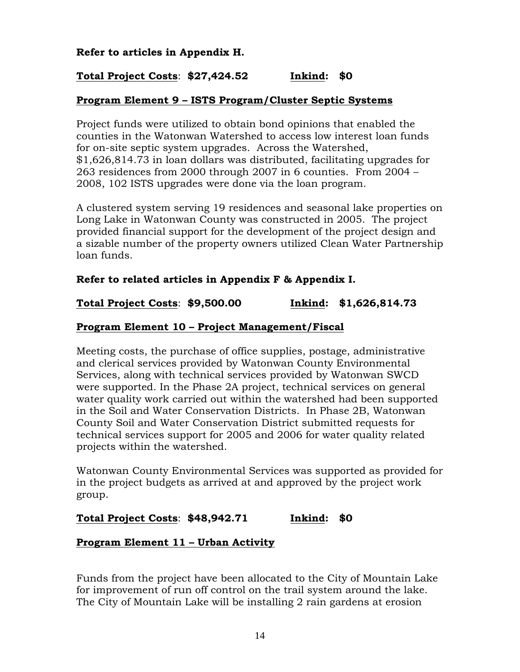### **Refer to articles in Appendix H.**

# **Total Project Costs**: **\$27,424.52 Inkind: \$0**

#### **Program Element 9 – ISTS Program/Cluster Septic Systems**

Project funds were utilized to obtain bond opinions that enabled the counties in the Watonwan Watershed to access low interest loan funds for on-site septic system upgrades. Across the Watershed, \$1,626,814.73 in loan dollars was distributed, facilitating upgrades for 263 residences from 2000 through 2007 in 6 counties. From 2004 – 2008, 102 ISTS upgrades were done via the loan program.

A clustered system serving 19 residences and seasonal lake properties on Long Lake in Watonwan County was constructed in 2005. The project provided financial support for the development of the project design and a sizable number of the property owners utilized Clean Water Partnership loan funds.

### **Refer to related articles in Appendix F & Appendix I.**

#### **Total Project Costs**: **\$9,500.00 Inkind: \$1,626,814.73**

#### **Program Element 10 – Project Management/Fiscal**

Meeting costs, the purchase of office supplies, postage, administrative and clerical services provided by Watonwan County Environmental Services, along with technical services provided by Watonwan SWCD were supported. In the Phase 2A project, technical services on general water quality work carried out within the watershed had been supported in the Soil and Water Conservation Districts. In Phase 2B, Watonwan County Soil and Water Conservation District submitted requests for technical services support for 2005 and 2006 for water quality related projects within the watershed.

Watonwan County Environmental Services was supported as provided for in the project budgets as arrived at and approved by the project work group.

**Total Project Costs**: **\$48,942.71 Inkind: \$0** 

#### **Program Element 11 – Urban Activity**

Funds from the project have been allocated to the City of Mountain Lake for improvement of run off control on the trail system around the lake. The City of Mountain Lake will be installing 2 rain gardens at erosion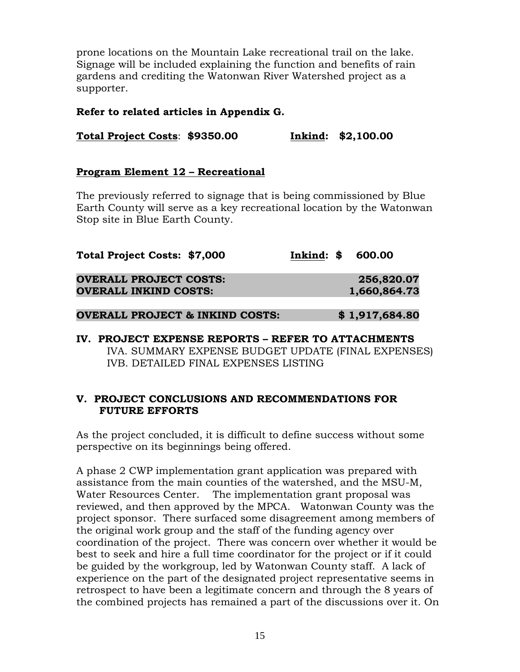prone locations on the Mountain Lake recreational trail on the lake. Signage will be included explaining the function and benefits of rain gardens and crediting the Watonwan River Watershed project as a supporter.

#### **Refer to related articles in Appendix G.**

**Total Project Costs**: **\$9350.00 Inkind: \$2,100.00** 

#### **Program Element 12 – Recreational**

The previously referred to signage that is being commissioned by Blue Earth County will serve as a key recreational location by the Watonwan Stop site in Blue Earth County.

| Total Project Costs: \$7,000               | Inkind: \$ 600.00 |                |
|--------------------------------------------|-------------------|----------------|
| <b>OVERALL PROJECT COSTS:</b>              |                   | 256,820.07     |
| <b>OVERALL INKIND COSTS:</b>               |                   | 1,660,864.73   |
| <b>OVERALL PROJECT &amp; INKIND COSTS:</b> |                   | \$1,917,684.80 |

**IV. PROJECT EXPENSE REPORTS – REFER TO ATTACHMENTS**  IVA. SUMMARY EXPENSE BUDGET UPDATE (FINAL EXPENSES) IVB. DETAILED FINAL EXPENSES LISTING

### **V. PROJECT CONCLUSIONS AND RECOMMENDATIONS FOR FUTURE EFFORTS**

As the project concluded, it is difficult to define success without some perspective on its beginnings being offered.

A phase 2 CWP implementation grant application was prepared with assistance from the main counties of the watershed, and the MSU-M, Water Resources Center. The implementation grant proposal was reviewed, and then approved by the MPCA. Watonwan County was the project sponsor. There surfaced some disagreement among members of the original work group and the staff of the funding agency over coordination of the project. There was concern over whether it would be best to seek and hire a full time coordinator for the project or if it could be guided by the workgroup, led by Watonwan County staff. A lack of experience on the part of the designated project representative seems in retrospect to have been a legitimate concern and through the 8 years of the combined projects has remained a part of the discussions over it. On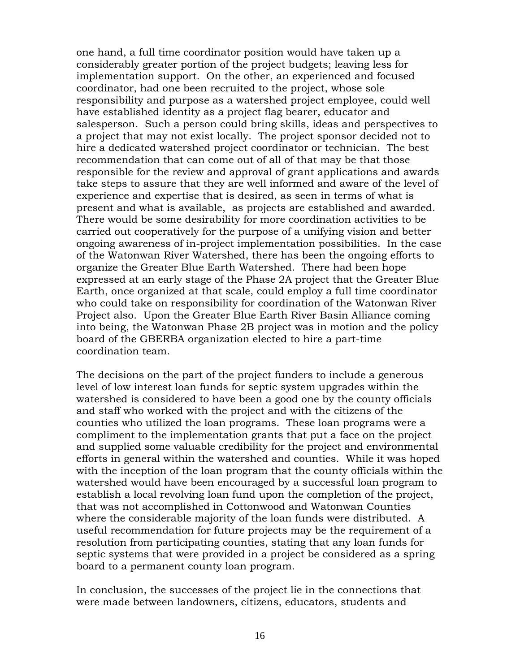one hand, a full time coordinator position would have taken up a considerably greater portion of the project budgets; leaving less for implementation support. On the other, an experienced and focused coordinator, had one been recruited to the project, whose sole responsibility and purpose as a watershed project employee, could well have established identity as a project flag bearer, educator and salesperson. Such a person could bring skills, ideas and perspectives to a project that may not exist locally. The project sponsor decided not to hire a dedicated watershed project coordinator or technician. The best recommendation that can come out of all of that may be that those responsible for the review and approval of grant applications and awards take steps to assure that they are well informed and aware of the level of experience and expertise that is desired, as seen in terms of what is present and what is available, as projects are established and awarded. There would be some desirability for more coordination activities to be carried out cooperatively for the purpose of a unifying vision and better ongoing awareness of in-project implementation possibilities. In the case of the Watonwan River Watershed, there has been the ongoing efforts to organize the Greater Blue Earth Watershed. There had been hope expressed at an early stage of the Phase 2A project that the Greater Blue Earth, once organized at that scale, could employ a full time coordinator who could take on responsibility for coordination of the Watonwan River Project also. Upon the Greater Blue Earth River Basin Alliance coming into being, the Watonwan Phase 2B project was in motion and the policy board of the GBERBA organization elected to hire a part-time coordination team.

The decisions on the part of the project funders to include a generous level of low interest loan funds for septic system upgrades within the watershed is considered to have been a good one by the county officials and staff who worked with the project and with the citizens of the counties who utilized the loan programs. These loan programs were a compliment to the implementation grants that put a face on the project and supplied some valuable credibility for the project and environmental efforts in general within the watershed and counties. While it was hoped with the inception of the loan program that the county officials within the watershed would have been encouraged by a successful loan program to establish a local revolving loan fund upon the completion of the project, that was not accomplished in Cottonwood and Watonwan Counties where the considerable majority of the loan funds were distributed. A useful recommendation for future projects may be the requirement of a resolution from participating counties, stating that any loan funds for septic systems that were provided in a project be considered as a spring board to a permanent county loan program.

In conclusion, the successes of the project lie in the connections that were made between landowners, citizens, educators, students and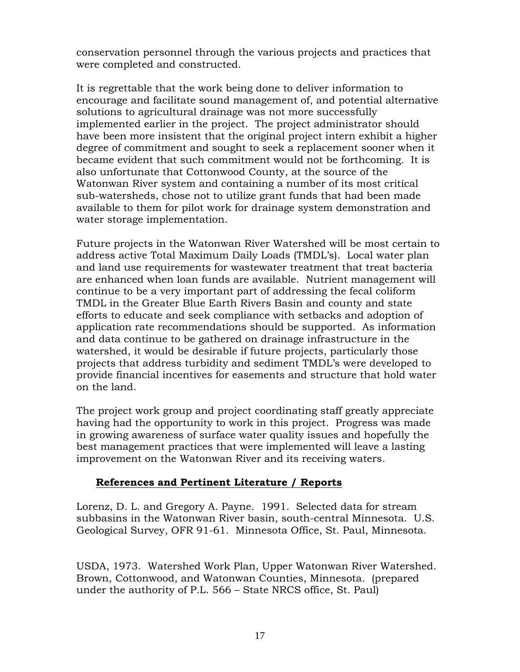conservation personnel through the various projects and practices that were completed and constructed.

It is regrettable that the work being done to deliver information to encourage and facilitate sound management of, and potential alternative solutions to agricultural drainage was not more successfully implemented earlier in the project. The project administrator should have been more insistent that the original project intern exhibit a higher degree of commitment and sought to seek a replacement sooner when it became evident that such commitment would not be forthcoming. It is also unfortunate that Cottonwood County, at the source of the Watonwan River system and containing a number of its most critical sub-watersheds, chose not to utilize grant funds that had been made available to them for pilot work for drainage system demonstration and water storage implementation.

Future projects in the Watonwan River Watershed will be most certain to address active Total Maximum Daily Loads (TMDL's). Local water plan and land use requirements for wastewater treatment that treat bacteria are enhanced when loan funds are available. Nutrient management will continue to be a very important part of addressing the fecal coliform TMDL in the Greater Blue Earth Rivers Basin and county and state efforts to educate and seek compliance with setbacks and adoption of application rate recommendations should be supported. As information and data continue to be gathered on drainage infrastructure in the watershed, it would be desirable if future projects, particularly those projects that address turbidity and sediment TMDL's were developed to provide financial incentives for easements and structure that hold water on the land.

The project work group and project coordinating staff greatly appreciate having had the opportunity to work in this project. Progress was made in growing awareness of surface water quality issues and hopefully the best management practices that were implemented will leave a lasting improvement on the Watonwan River and its receiving waters.

# **References and Pertinent Literature / Reports**

Lorenz, D. L. and Gregory A. Payne. 1991. Selected data for stream subbasins in the Watonwan River basin, south-central Minnesota. U.S. Geological Survey, OFR 91-61. Minnesota Office, St. Paul, Minnesota.

USDA, 1973. Watershed Work Plan, Upper Watonwan River Watershed. Brown, Cottonwood, and Watonwan Counties, Minnesota. (prepared under the authority of P.L. 566 – State NRCS office, St. Paul)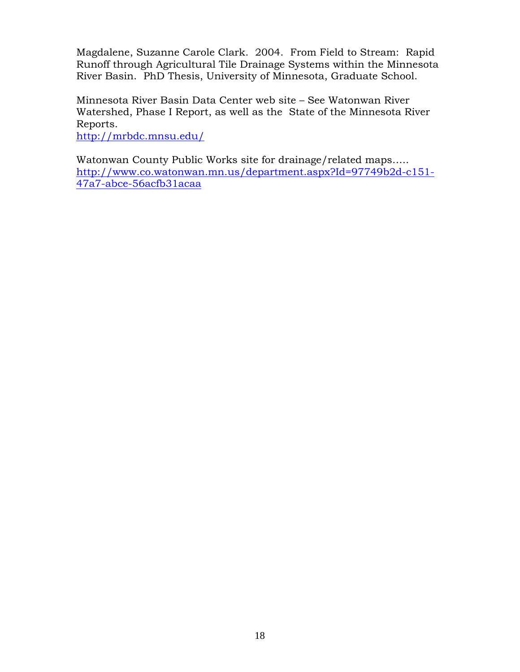Magdalene, Suzanne Carole Clark. 2004. From Field to Stream: Rapid Runoff through Agricultural Tile Drainage Systems within the Minnesota River Basin. PhD Thesis, University of Minnesota, Graduate School.

Minnesota River Basin Data Center web site – See Watonwan River Watershed, Phase I Report, as well as the State of the Minnesota River Reports.

<http://mrbdc.mnsu.edu/>

Watonwan County Public Works site for drainage/related maps….. [http://www.co.watonwan.mn.us/department.aspx?Id=97749b2d-c151-](http://www.co.watonwan.mn.us/department.aspx?Id=97749b2d-c151-47a7-abce-56acfb31acaa) [47a7-abce-56acfb31acaa](http://www.co.watonwan.mn.us/department.aspx?Id=97749b2d-c151-47a7-abce-56acfb31acaa)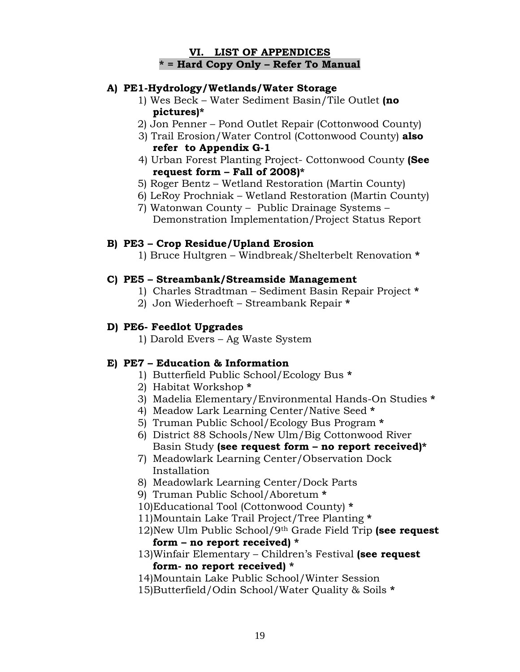#### **VI. LIST OF APPENDICES \* = Hard Copy Only – Refer To Manual**

### **A) PE1-Hydrology/Wetlands/Water Storage**

- 1) Wes Beck Water Sediment Basin/Tile Outlet **(no pictures)\***
- 2) Jon Penner Pond Outlet Repair (Cottonwood County)
- 3) Trail Erosion/Water Control (Cottonwood County) **also refer to Appendix G-1**
- 4) Urban Forest Planting Project- Cottonwood County **(See request form – Fall of 2008)\***
- 5) Roger Bentz Wetland Restoration (Martin County)
- 6) LeRoy Prochniak Wetland Restoration (Martin County)
- 7) Watonwan County Public Drainage Systems Demonstration Implementation/Project Status Report

### **B) PE3 – Crop Residue/Upland Erosion**

1) Bruce Hultgren – Windbreak/Shelterbelt Renovation **\*** 

#### **C) PE5 – Streambank/Streamside Management**

- 1) Charles Stradtman Sediment Basin Repair Project **\***
- 2) Jon Wiederhoeft Streambank Repair **\***

# **D) PE6- Feedlot Upgrades**

1) Darold Evers – Ag Waste System

# **E) PE7 – Education & Information**

- 1) Butterfield Public School/Ecology Bus **\***
- 2) Habitat Workshop **\***
- 3) Madelia Elementary/Environmental Hands-On Studies **\***
- 4) Meadow Lark Learning Center/Native Seed **\***
- 5) Truman Public School/Ecology Bus Program **\***
- 6) District 88 Schools/New Ulm/Big Cottonwood River Basin Study **(see request form – no report received)\***
- 7) Meadowlark Learning Center/Observation Dock Installation
- 8) Meadowlark Learning Center/Dock Parts
- 9) Truman Public School/Aboretum **\***
- 10)Educational Tool (Cottonwood County) **\***
- 11)Mountain Lake Trail Project/Tree Planting **\***
- 12)New Ulm Public School/9th Grade Field Trip **(see request form – no report received) \***
- 13)Winfair Elementary Children's Festival **(see request form- no report received) \***
- 14)Mountain Lake Public School/Winter Session
- 15)Butterfield/Odin School/Water Quality & Soils **\***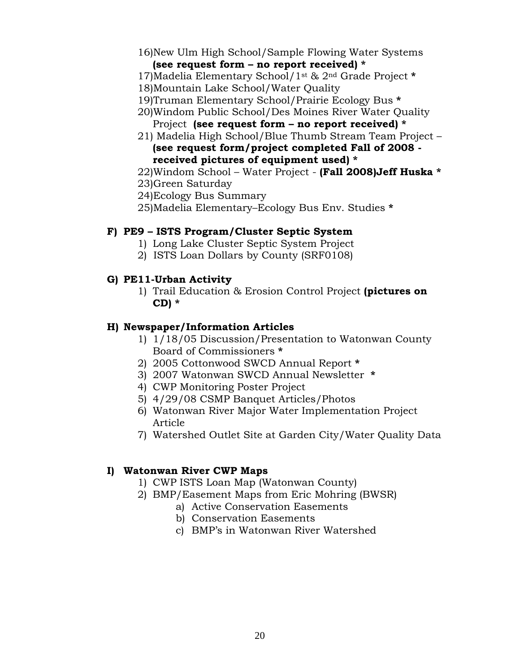- 16)New Ulm High School/Sample Flowing Water Systems **(see request form – no report received) \***
- 17)Madelia Elementary School/1st & 2nd Grade Project **\***
- 18)Mountain Lake School/Water Quality
- 19)Truman Elementary School/Prairie Ecology Bus **\***
- 20)Windom Public School/Des Moines River Water Quality Project **(see request form – no report received) \***
- 21) Madelia High School/Blue Thumb Stream Team Project **(see request form/project completed Fall of 2008 received pictures of equipment used) \***
- 22)Windom School Water Project **(Fall 2008)Jeff Huska \***
- 23)Green Saturday
- 24)Ecology Bus Summary
- 25)Madelia Elementary–Ecology Bus Env. Studies **\***

### **F) PE9 – ISTS Program/Cluster Septic System**

- 1) Long Lake Cluster Septic System Project
- 2) ISTS Loan Dollars by County (SRF0108)

### **G) PE11-Urban Activity**

1) Trail Education & Erosion Control Project **(pictures on CD) \***

### **H) Newspaper/Information Articles**

- 1) 1/18/05 Discussion/Presentation to Watonwan County Board of Commissioners **\***
- 2) 2005 Cottonwood SWCD Annual Report **\***
- 3) 2007 Watonwan SWCD Annual Newsletter **\***
- 4) CWP Monitoring Poster Project
- 5) 4/29/08 CSMP Banquet Articles/Photos
- 6) Watonwan River Major Water Implementation Project Article
- 7) Watershed Outlet Site at Garden City/Water Quality Data

#### **I) Watonwan River CWP Maps**

- 1) CWP ISTS Loan Map (Watonwan County)
- 2) BMP/Easement Maps from Eric Mohring (BWSR)
	- a) Active Conservation Easements
	- b) Conservation Easements
	- c) BMP's in Watonwan River Watershed